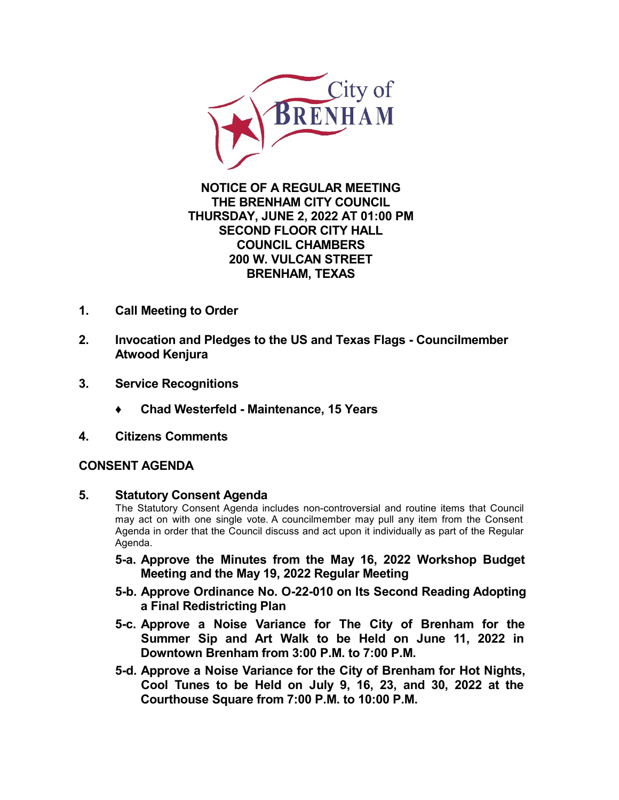

## **NOTICE OF A REGULAR MEETING THE BRENHAM CITY COUNCIL THURSDAY, JUNE 2, 2022 AT 01:00 PM SECOND FLOOR CITY HALL COUNCIL CHAMBERS 200 W. VULCAN STREET BRENHAM, TEXAS**

- **1. Call Meeting to Order**
- **2. Invocation and Pledges to the US and Texas Flags - Councilmember Atwood Kenjura**
- **3. Service Recognitions**
	- **♦ Chad Westerfeld - Maintenance, 15 Years**
- **4. Citizens Comments**

# **CONSENT AGENDA**

**5. Statutory Consent Agenda**

The Statutory Consent Agenda includes non-controversial and routine items that Council may act on with one single vote. A councilmember may pullany item from the Consent Agenda in order that the Council discuss and act upon it individually as part of the Regular Agenda.

- **5-a. Approve the Minutes from the May 16, 2022 [Workshop](http://packets.shea.agendease.com/getdoc.php?cID=10000135&bID=217&mID=5707&iID=50367) Budget Meeting and the May 19, 2022 Regular Meeting**
- **5-b. Approve Ordinance No. O-22-010 on Its Second Reading Adopting a Final [Redistricting](http://packets.shea.agendease.com/getdoc.php?cID=10000135&bID=217&mID=5707&iID=50366) Plan**
- **5-c. Approve a Noise Variance for The City of Brenham for the Summer Sip and Art Walk to be Held on June 11, 2022 in [Downtown](http://packets.shea.agendease.com/getdoc.php?cID=10000135&bID=217&mID=5707&iID=50242) Brenham from 3:00 P.M.to 7:00 P.M.**
- **5-d. Approve a Noise Variance for the City of Brenham for Hot Nights, Cool Tunes to be Held on July 9, 16, 23, and 30, 2022 at the [Courthouse](http://packets.shea.agendease.com/getdoc.php?cID=10000135&bID=217&mID=5707&iID=49879) Square from 7:00 P.M.to 10:00 P.M.**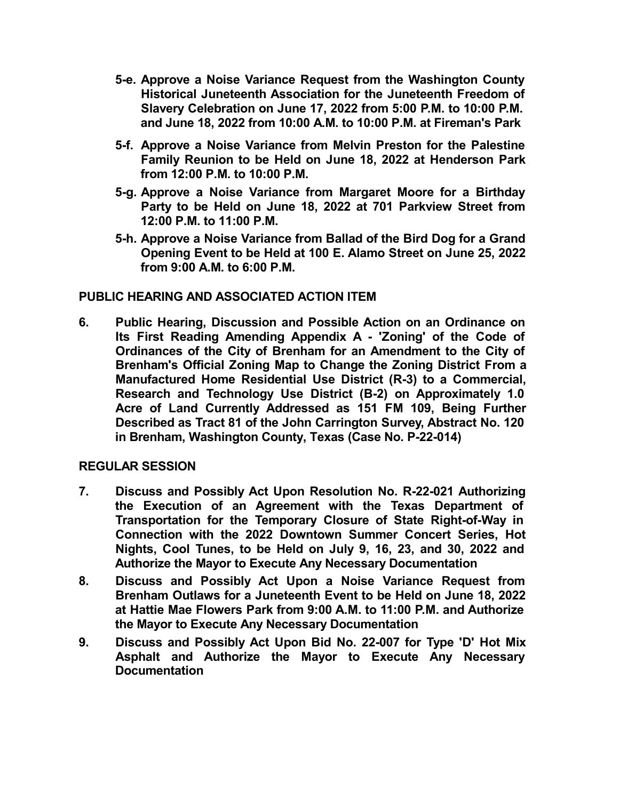- **5-e. Approve a Noise Variance Request from the [Washington](http://packets.shea.agendease.com/getdoc.php?cID=10000135&bID=217&mID=5707&iID=50161) County Historical Juneteenth Association forthe Juneteenth Freedom of Slavery Celebration on June 17, 2022 from 5:00 P.M. to 10:00 P.M. and June 18, 2022 from 10:00 A.M. to 10:00 P.M. at Fireman's Park**
- **5-f. Approve a Noise Variance from Melvin Preston for the Palestine Family Reunion to be Held on June 18, 2022 at [Henderson](http://packets.shea.agendease.com/getdoc.php?cID=10000135&bID=217&mID=5707&iID=49311) Park from 12:00 P.M. to 10:00 P.M.**
- **5-g. Approve a Noise Variance from Margaret Moore for a Birthday Party to be Held on June 18, 2022 at 701 Parkview [Streetfrom](http://packets.shea.agendease.com/getdoc.php?cID=10000135&bID=217&mID=5707&iID=50448) 12:00 P.M. to 11:00 P.M.**
- **5-h. Approve a Noise [Variance](http://packets.shea.agendease.com/getdoc.php?cID=10000135&bID=217&mID=5707&iID=49876) from Ballad of the Bird Dog for a Grand Opening Event to be Held at 100 E. Alamo Street on June 25, 2022 from 9:00 A.M. to 6:00 P.M.**

## **PUBLIC HEARING AND ASSOCIATED ACTION ITEM**

**6. Public Hearing, Discussion and Possible Action on an Ordinance on Its First Reading Amending Appendix A - 'Zoning' of the Code of Ordinances of the City of Brenham for an Amendment to the City of Brenham's Official Zoning Map to Change the Zoning District From a Manufactured Home Residential Use District (R-3) to a Commercial, Research and Technology Use District (B-2) on [Approximately](http://packets.shea.agendease.com/getdoc.php?cID=10000135&bID=217&mID=5707&iID=50380) 1.0 Acre of Land Currently Addressed as 151 FM 109, Being Further Described as Tract 81 of the John Carrington Survey, Abstract No. 120 in Brenham, Washington County, Texas (Case No. P-22-014)**

## **REGULAR SESSION**

- **7. Discuss and Possibly Act Upon Resolution No. R-22-021 Authorizing the Execution of an Agreement with the Texas Department of [Transportation](http://packets.shea.agendease.com/getdoc.php?cID=10000135&bID=217&mID=5707&iID=49880) for the Temporary Closure of State Right-of-Way in Connection with the 2022 Downtown Summer Concert Series, Hot Nights, Cool Tunes, to be Held on July 9, 16, 23, and 30, 2022 and Authorize the Mayor to Execute Any Necessary Documentation**
- **8. Discuss and Possibly Act Upon a Noise Variance Request from Brenham Outlaws for a Juneteenth Event to be Held on June 18, 2022 at Hattie Mae Flowers Park from 9:00 A.M. to 11:00 P.M. and Authorize the Mayor to Execute Any Necessary [Documentation](http://packets.shea.agendease.com/getdoc.php?cID=10000135&bID=217&mID=5707&iID=50191)**
- **9. Discuss and Possibly Act Upon Bid No. 22-007 for Type 'D' Hot Mix Asphalt and Authorize the Mayor to Execute Any Necessary [Documentation](http://packets.shea.agendease.com/getdoc.php?cID=10000135&bID=217&mID=5707&iID=50383)**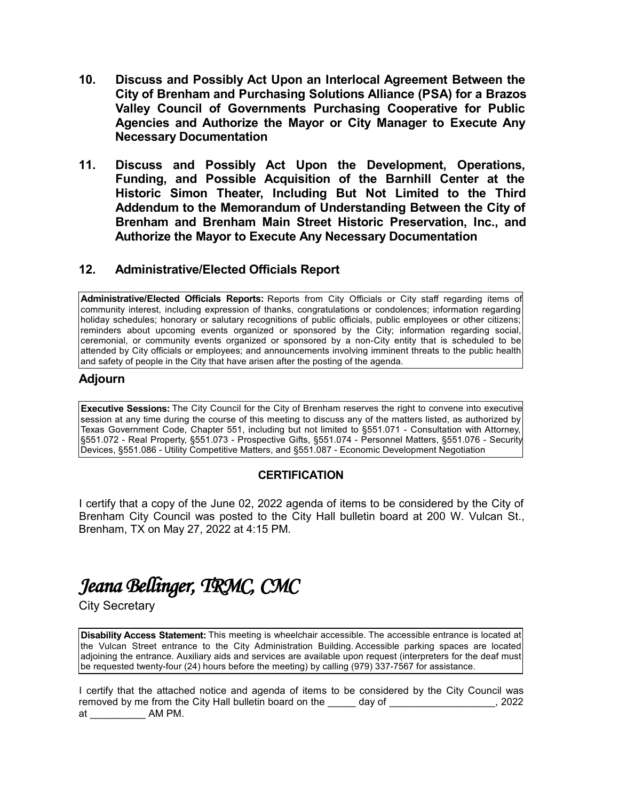- **10. Discuss and Possibly Act Upon an Interlocal Agreement Between the City of Brenham [andPurchasing](http://packets.shea.agendease.com/getdoc.php?cID=10000135&bID=217&mID=5707&iID=50384) Solutions Alliance (PSA) for a Brazos Valley Council of Governments Purchasing Cooperative for Public Agencies and Authorize the Mayor or City Manager to Execute Any Necessary Documentation**
- **11. Discuss and Possibly Act Upon the Development, Operations, Funding, and Possible Acquisition of the Barnhill Center at the Historic Simon Theater, Including But Not Limited to the Third Addendum to the Memorandum of Understanding Between the City of Brenham and Brenham Main Street Historic Preservation, Inc., and Authorize the Mayor to Execute Any Necessary [Documentation](http://packets.shea.agendease.com/getdoc.php?cID=10000135&bID=217&mID=5707&iID=50313)**

#### **12. Administrative/Elected Officials Report**

**Administrative/Elected Officials Reports:** Reports from City Officials or City staff regarding items of community interest, including expression of thanks, congratulations or condolences; information regarding holiday schedules; honorary or salutary recognitions of public officials, public employees or other citizens; reminders about upcoming events organized or sponsored by the City; information regarding social, ceremonial, or community events organized or sponsored by a non-City entity that is scheduled to be attended by City officials or employees; and announcements involving imminent threats to the public health and safety of people in the City that have arisen after the posting of the agenda.

#### **Adjourn**

**Executive Sessions:** The City Council for the City of Brenham reserves the right to convene into executive session at any time during the course of this meeting to discuss any of the matters listed, as authorized by Texas Government Code, Chapter 551, including but not limited to §551.071 - Consultation with Attorney, §551.072 - Real Property, §551.073 - Prospective Gifts, §551.074 - Personnel Matters, §551.076 - Security Devices, §551.086 - Utility Competitive Matters, and §551.087 - Economic Development Negotiation

## **CERTIFICATION**

I certify that a copy of the June 02, 2022 agenda of items to be considered by the City of Brenham City Council was posted to the City Hall bulletin board at 200 W. Vulcan St., Brenham, TX on May 27,2022 at 4:15 PM.

# Jeana Bellinger, TRMC, CMC

City Secretary

**Disability Access Statement:** This meeting is wheelchair accessible. The accessible entrance is located at the Vulcan Street entrance to the City Administration Building. Accessible parking spaces are located adjoining the entrance. Auxiliary aids and services are available upon request (interpreters for the deaf must be requested twenty-four (24) hours before the meeting) by calling (979) 337-7567 for assistance.

I certify that the attached notice and agenda of items to be considered by the City Council was removed by me from the City Hall bulletin board on the day of  $\qquad \qquad$ , 2022 at \_\_\_\_\_\_\_\_\_\_ AM PM.